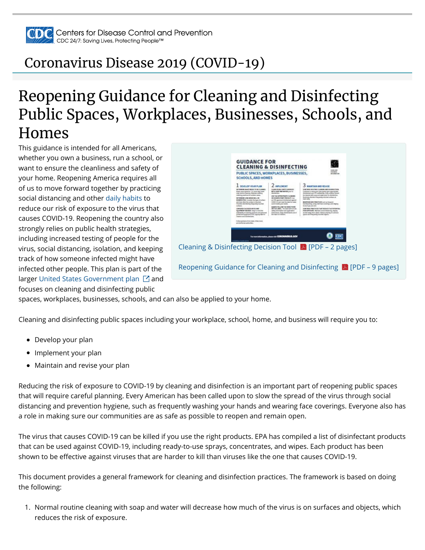

### [Coronavirus Disease 2019 \(COVID-19\)](https://www.cdc.gov/coronavirus/2019-nCoV/index.html)

# Reopening Guidance for Cleaning and Disinfecting Public Spaces, Workplaces, Businesses, Schools, and Homes

This guidance is intended for all Americans, whether you own a business, run a school, or want to ensure the cleanliness and safety of your home. Reopening America requires all of us to move forward together by practicing social distancing and other [daily habits](https://www.cdc.gov/coronavirus/2019-ncov/prevent-getting-sick/prevention.html) to reduce our risk of exposure to the virus that causes COVID-19. Reopening the country also strongly relies on public health strategies, including increased testing of people for the virus, social distancing, isolation, and keeping track of how someone infected might have infected other people. This plan is part of the larger [United States Government plan](https://www.whitehouse.gov/openingamerica/)  $\boxdot$  and focuses on cleaning and disinfecting public



spaces, workplaces, businesses, schools, and can also be applied to your home.

Cleaning and disinfecting public spaces including your workplace, school, home, and business will require you to:

- Develop your plan
- Implement your plan
- Maintain and revise your plan

Reducing the risk of exposure to COVID-19 by cleaning and disinfection is an important part of reopening public spaces that will require careful planning. Every American has been called upon to slow the spread of the virus through social distancing and prevention hygiene, such as frequently washing your hands and wearing face coverings. Everyone also has a role in making sure our communities are as safe as possible to reopen and remain open.

The virus that causes COVID-19 can be killed if you use the right products. EPA has compiled a list of disinfectant products that can be used against COVID-19, including ready-to-use sprays, concentrates, and wipes. Each product has been shown to be effective against viruses that are harder to kill than viruses like the one that causes COVID-19.

This document provides a general framework for cleaning and disinfection practices. The framework is based on doing the following:

1. Normal routine cleaning with soap and water will decrease how much of the virus is on surfaces and objects, which reduces the risk of exposure.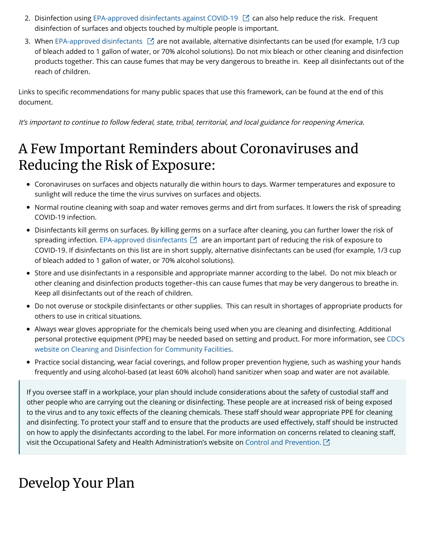- 2. Disinfection using EPA-approved disinfectants against COVID-19  $\boxdot$  can also help reduce the risk. Frequent disinfection of surfaces and objects touched by multiple people is important.
- 3. When [EPA-approved disinfectants](https://www.epa.gov/pesticide-registration/list-n-disinfectants-use-against-sars-cov-2)  $\boxdot$  are not available, alternative disinfectants can be used (for example, 1/3 cup of bleach added to 1 gallon of water, or 70% alcohol solutions). Do not mix bleach or other cleaning and disinfection products together. This can cause fumes that may be very dangerous to breathe in. Keep all disinfectants out of the reach of children.

Links to specific recommendations for many public spaces that use this framework, can be found at the end of this document.

It's important to continue to follow federal, state, tribal, territorial, and local guidance for reopening America.

#### A Few Important Reminders about Coronaviruses and Reducing the Risk of Exposure:

- Coronaviruses on surfaces and objects naturally die within hours to days. Warmer temperatures and exposure to sunlight will reduce the time the virus survives on surfaces and objects.
- Normal routine cleaning with soap and water removes germs and dirt from surfaces. It lowers the risk of spreading COVID-19 infection.
- Disinfectants kill germs on surfaces. By killing germs on a surface after cleaning, you can further lower the risk of spreading infection. [EPA-approved disinfectants](https://www.epa.gov/pesticide-registration/list-n-disinfectants-use-against-sars-cov-2)  $\boxdot$  are an important part of reducing the risk of exposure to COVID-19. If disinfectants on this list are in short supply, alternative disinfectants can be used (for example, 1/3 cup of bleach added to 1 gallon of water, or 70% alcohol solutions).
- Store and use disinfectants in a responsible and appropriate manner according to the label. Do not mix bleach or other cleaning and disinfection products together–this can cause fumes that may be very dangerous to breathe in. Keep all disinfectants out of the reach of children.
- Do not overuse or stockpile disinfectants or other supplies. This can result in shortages of appropriate products for others to use in critical situations.
- Always wear gloves appropriate for the chemicals being used when you are cleaning and disinfecting. Additional [personal protective equipment \(PPE\) may be needed based on setting and product. For more information, see CDC's](https://www.cdc.gov/coronavirus/2019-ncov/community/organizations/cleaning-disinfection.html) website on Cleaning and Disinfection for Community Facilities.
- Practice social distancing, wear facial coverings, and follow proper prevention hygiene, such as washing your hands frequently and using alcohol-based (at least 60% alcohol) hand sanitizer when soap and water are not available.

If you oversee staff in a workplace, your plan should include considerations about the safety of custodial staff and other people who are carrying out the cleaning or disinfecting. These people are at increased risk of being exposed to the virus and to any toxic effects of the cleaning chemicals. These staff should wear appropriate PPE for cleaning and disinfecting. To protect your staff and to ensure that the products are used effectively, staff should be instructed on how to apply the disinfectants according to the label. For more information on concerns related to cleaning staff, visit the Occupational Safety and Health Administration's website on [Control and Prevention.](https://www.osha.gov/SLTC/covid-19/controlprevention.html)  $\square$ 

### Develop Your Plan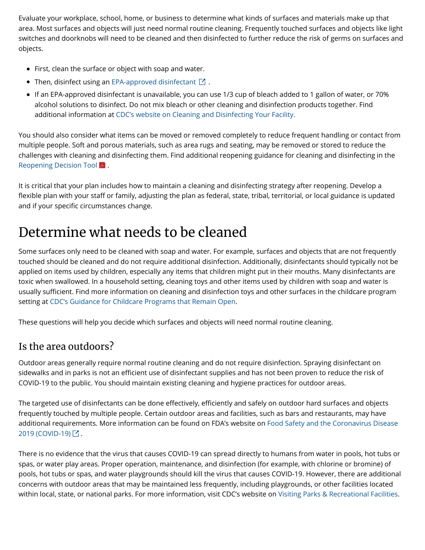Evaluate your workplace, school, home, or business to determine what kinds of surfaces and materials make up that area. Most surfaces and objects will just need normal routine cleaning. Frequently touched surfaces and objects like light switches and doorknobs will need to be cleaned and then disinfected to further reduce the risk of germs on surfaces and objects.

- First, clean the surface or object with soap and water.
- Then, disinfect using an [EPA-approved disinfectant](https://www.epa.gov/pesticide-registration/list-n-disinfectants-use-against-sars-cov-2)  $\boxtimes$  .
- If an EPA-approved disinfectant is unavailable, you can use 1/3 cup of bleach added to 1 gallon of water, or 70% alcohol solutions to disinfect. Do not mix bleach or other cleaning and disinfection products together. Find additional information at [CDC's website on Cleaning and Disinfecting Your Facility.](https://www.cdc.gov/coronavirus/2019-ncov/community/disinfecting-building-facility.html)

You should also consider what items can be moved or removed completely to reduce frequent handling or contact from multiple people. Soft and porous materials, such as area rugs and seating, may be removed or stored to reduce the challenges with cleaning and disinfecting them. Find additional reopening guidance for cleaning and disinfecting in the [Reopening Decision Tool](https://www.cdc.gov/coronavirus/2019-ncov/community/pdf/ReOpening_America_Cleaning_Disinfection_Decision_Tool.pdf) A.

It is critical that your plan includes how to maintain a cleaning and disinfecting strategy after reopening. Develop a flexible plan with your staff or family, adjusting the plan as federal, state, tribal, territorial, or local guidance is updated and if your specific circumstances change.

#### Determine what needs to be cleaned

Some surfaces only need to be cleaned with soap and water. For example, surfaces and objects that are not frequently touched should be cleaned and do not require additional disinfection. Additionally, disinfectants should typically not be applied on items used by children, especially any items that children might put in their mouths. Many disinfectants are toxic when swallowed. In a household setting, cleaning toys and other items used by children with soap and water is usually sufficient. Find more information on cleaning and disinfection toys and other surfaces in the childcare program setting at [CDC's Guidance for Childcare Programs that Remain Open](https://www.cdc.gov/coronavirus/2019-ncov/community/schools-childcare/guidance-for-childcare.html).

These questions will help you decide which surfaces and objects will need normal routine cleaning.

#### Is the area outdoors?

Outdoor areas generally require normal routine cleaning and do not require disinfection. Spraying disinfectant on sidewalks and in parks is not an efficient use of disinfectant supplies and has not been proven to reduce the risk of COVID-19 to the public. You should maintain existing cleaning and hygiene practices for outdoor areas.

The targeted use of disinfectants can be done effectively, efficiently and safely on outdoor hard surfaces and objects frequently touched by multiple people. Certain outdoor areas and facilities, such as bars and restaurants, may have [additional requirements. More information can be found on FDA's website on Food Safety and the Coronavirus Disease](https://www.fda.gov/food/food-safety-during-emergencies/food-safety-and-coronavirus-disease-2019-covid-19) 2019 (COVID-19) [스 .

There is no evidence that the virus that causes COVID-19 can spread directly to humans from water in pools, hot tubs or spas, or water play areas. Proper operation, maintenance, and disinfection (for example, with chlorine or bromine) of pools, hot tubs or spas, and water playgrounds should kill the virus that causes COVID-19. However, there are additional concerns with outdoor areas that may be maintained less frequently, including playgrounds, or other facilities located within local, state, or national parks. For more information, visit CDC's website on [Visiting Parks & Recreational Facilities](https://www.cdc.gov/coronavirus/2019-ncov/daily-life-coping/visitors.html?CDC_AA_refVal=https%3A%2F%2Fwww.cdc.gov%2Fcoronavirus%2F2019-ncov%2Fcommunity%2Fparks-rec%2Fvisitors.html).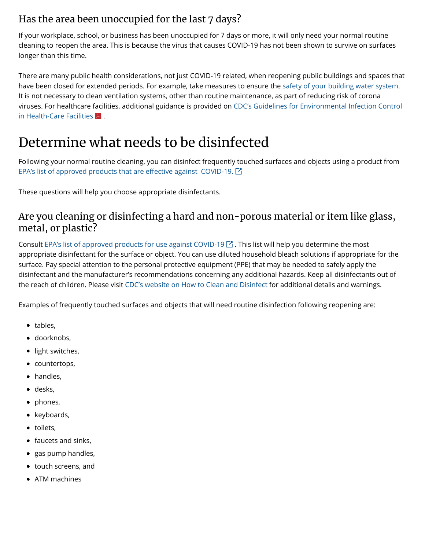#### Has the area been unoccupied for the last 7 days?

If your workplace, school, or business has been unoccupied for 7 days or more, it will only need your normal routine cleaning to reopen the area. This is because the virus that causes COVID-19 has not been shown to survive on surfaces longer than this time.

There are many public health considerations, not just COVID-19 related, when reopening public buildings and spaces that have been closed for extended periods. For example, take measures to ensure the [safety of your building water system.](https://www.cdc.gov/coronavirus/2019-ncov/php/building-water-system.html) It is not necessary to clean ventilation systems, other than routine maintenance, as part of reducing risk of corona [viruses. For healthcare facilities, additional guidance is provided on CDC's Guidelines for Environmental Infection Control](https://www.cdc.gov/infectioncontrol/pdf/guidelines/environmental-guidelines-P.pdf) in Health-Care Facilities  $\blacktriangleright$  .

## Determine what needs to be disinfected

Following your normal routine cleaning, you can disinfect frequently touched surfaces and objects using a product from [EPA's list of approved products that are e](https://www.epa.gov/pesticide-registration/list-n-disinfectants-use-against-sars-cov-2)ffective against COVID-19.  $\boxtimes$ 

These questions will help you choose appropriate disinfectants.

#### Are you cleaning or disinfecting a hard and non-porous material or item like glass, metal, or plastic?

Consult [EPA's list of approved products for use against COVID-19](https://www.epa.gov/pesticide-registration/list-n-disinfectants-use-against-sars-cov-2)  $\boxtimes$  . This list will help you determine the most appropriate disinfectant for the surface or object. You can use diluted household bleach solutions if appropriate for the surface. Pay special attention to the personal protective equipment (PPE) that may be needed to safely apply the disinfectant and the manufacturer's recommendations concerning any additional hazards. Keep all disinfectants out of the reach of children. Please visit [CDC's website on How to Clean and](https://www.cdc.gov/coronavirus/2019-ncov/community/organizations/cleaning-disinfection.html) [Disinfect](https://www.cdc.gov/coronavirus/2019-ncov/community/organizations/cleaning-disinfection.html) for additional details and warnings.

Examples of frequently touched surfaces and objects that will need routine disinfection following reopening are:

- tables,
- doorknobs,
- light switches,
- countertops,
- handles,
- desks,
- phones,
- keyboards,
- toilets,
- faucets and sinks,
- gas pump handles,
- touch screens, and
- ATM machines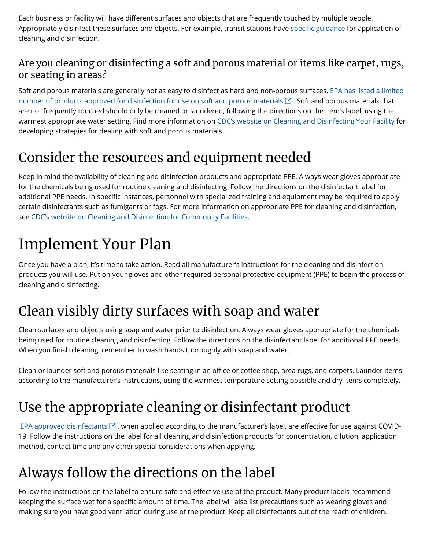Each business or facility will have different surfaces and objects that are frequently touched by multiple people. Appropriately disinfect these surfaces and objects. For example, transit stations have specifi[c guidance f](https://www.cdc.gov/coronavirus/2019-ncov/community/organizations/transit-station-workers.html)or application of cleaning and disinfection.

#### Are you cleaning or disinfecting a soft and porous material or items like carpet, rugs, or seating in areas?

[Soft and porous materials are generally not as easy to disinfect as hard and non-porous surfaces. EPA has listed a limited](http://www.epa.gov/pesticide-registration/list-n-disinfectants-use-against-sars-cov-2) number of products approved for disinfection for use on soft and porous materials  $\boxdot$  . Soft and porous materials that are not frequently touched should only be cleaned or laundered, following the directions on the item's label, using the warmest appropriate water setting. Find more information on [CDC's website on Cleaning and Disinfecting Your Facility](https://www.cdc.gov/coronavirus/2019-ncov/community/disinfecting-building-facility.html) for developing strategies for dealing with soft and porous materials.

## Consider the resources and equipment needed

Keep in mind the availability of cleaning and disinfection products and appropriate PPE. Always wear gloves appropriate for the chemicals being used for routine cleaning and disinfecting. Follow the directions on the disinfectant label for additional PPE needs. In specific instances, personnel with specialized training and equipment may be required to apply certain disinfectants such as fumigants or fogs. For more information on appropriate PPE for cleaning and disinfection, see [CDC's website on Cleaning and Disinfection for Community Facilities.](https://www.cdc.gov/coronavirus/2019-ncov/community/organizations/cleaning-disinfection.html)

# Implement Your Plan

Once you have a plan, it's time to take action. Read all manufacturer's instructions for the cleaning and disinfection products you will use. Put on your gloves and other required personal protective equipment (PPE) to begin the process of cleaning and disinfecting.

# Clean visibly dirty surfaces with soap and water

Clean surfaces and objects using soap and water prior to disinfection. Always wear gloves appropriate for the chemicals being used for routine cleaning and disinfecting. Follow the directions on the disinfectant label for additional PPE needs. When you finish cleaning, remember to wash hands thoroughly with soap and water.

Clean or launder soft and porous materials like seating in an office or coffee shop, area rugs, and carpets. Launder items according to the manufacturer's instructions, using the warmest temperature setting possible and dry items completely.

## Use the appropriate cleaning or disinfectant product

EPA approved disinfectants  $\Box$ , when applied according to the manufacturer's label, are effective for use against COVID-19. Follow the instructions on the label for all cleaning and disinfection products for concentration, dilution, application method, contact time and any other special considerations when applying.

# Always follow the directions on the label

Follow the instructions on the label to ensure safe and effective use of the product. Many product labels recommend keeping the surface wet for a specific amount of time. The label will also list precautions such as wearing gloves and making sure you have good ventilation during use of the product. Keep all disinfectants out of the reach of children.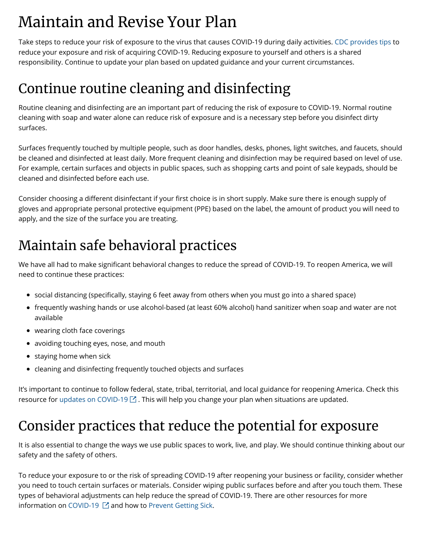# Maintain and Revise Your Plan

Take steps to reduce your risk of exposure to the virus that causes COVID-19 during daily activities. [CDC provides tips](https://www.cdc.gov/coronavirus/2019-ncov/prevent-getting-sick/index.html) to reduce your exposure and risk of acquiring COVID-19. Reducing exposure to yourself and others is a shared responsibility. Continue to update your plan based on updated guidance and your current circumstances.

## Continue routine cleaning and disinfecting

Routine cleaning and disinfecting are an important part of reducing the risk of exposure to COVID-19. Normal routine cleaning with soap and water alone can reduce risk of exposure and is a necessary step before you disinfect dirty surfaces.

Surfaces frequently touched by multiple people, such as door handles, desks, phones, light switches, and faucets, should be cleaned and disinfected at least daily. More frequent cleaning and disinfection may be required based on level of use. For example, certain surfaces and objects in public spaces, such as shopping carts and point of sale keypads, should be cleaned and disinfected before each use.

Consider choosing a different disinfectant if your first choice is in short supply. Make sure there is enough supply of gloves and appropriate personal protective equipment (PPE) based on the label, the amount of product you will need to apply, and the size of the surface you are treating.

## Maintain safe behavioral practices

We have all had to make significant behavioral changes to reduce the spread of COVID-19. To reopen America, we will need to continue these practices:

- social distancing (specifically, staying 6 feet away from others when you must go into a shared space)
- frequently washing hands or use alcohol-based (at least 60% alcohol) hand sanitizer when soap and water are not available
- wearing cloth face coverings
- avoiding touching eyes, nose, and mouth
- $\bullet$  staying home when sick
- cleaning and disinfecting frequently touched objects and surfaces

It's important to continue to follow federal, state, tribal, territorial, and local guidance for reopening America. Check this resource for [updates on COVID-19](https://www.coronavirus.gov/)  $\boxtimes$  . This will help you change your plan when situations are updated.

### Consider practices that reduce the potential for exposure

It is also essential to change the ways we use public spaces to work, live, and play. We should continue thinking about our safety and the safety of others.

To reduce your exposure to or the risk of spreading COVID-19 after reopening your business or facility, consider whether you need to touch certain surfaces or materials. Consider wiping public surfaces before and after you touch them. These types of behavioral adjustments can help reduce the spread of COVID-19. There are other resources for more information on COVID-19  $\boxtimes$  and how to [Prevent Getting Sick](https://www.cdc.gov/coronavirus/2019-ncov/prevent-getting-sick/index.html).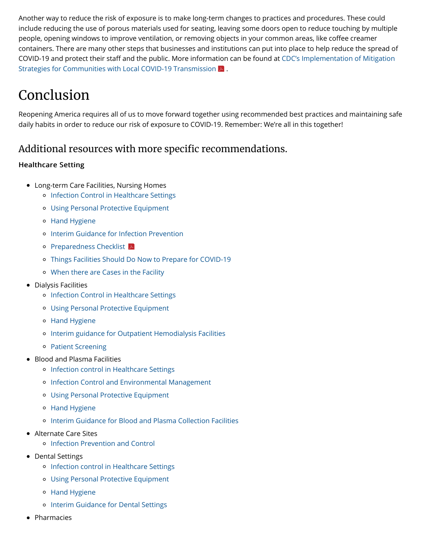Another way to reduce the risk of exposure is to make long-term changes to practices and procedures. These could include reducing the use of porous materials used for seating, leaving some doors open to reduce touching by multiple people, opening windows to improve ventilation, or removing objects in your common areas, like coffee creamer containers. There are many other steps that businesses and institutions can put into place to help reduce the spread of COVID-19 and protect their staff [and the public. More information can be found at CDC's Implementation of Mitigation](https://www.cdc.gov/coronavirus/2019-ncov/downloads/community-mitigation-strategy.pdf) Strategies for Communities with Local COVID-19 Transmission  $\triangleright$  .

## Conclusion

Reopening America requires all of us to move forward together using recommended best practices and maintaining safe daily habits in order to reduce our risk of exposure to COVID-19. Remember: We're all in this together!

#### Additional resources with more specific recommendations.

#### **Healthcare Setting**

- Long-term Care Facilities, Nursing Homes
	- o [Infection Control in Healthcare Settings](https://www.cdc.gov/coronavirus/2019-ncov/hcp/infection-control-recommendations.html)
	- [Using Personal Protective Equipment](https://www.cdc.gov/coronavirus/2019-ncov/hcp/using-ppe.html)
	- o [Hand Hygiene](https://www.cdc.gov/coronavirus/2019-ncov/hcp/hand-hygiene.html)
	- o [Interim Guidance for Infection Prevention](https://www.cdc.gov/coronavirus/2019-ncov/hcp/long-term-care.html#interim-guidance)
	- **[Preparedness Checklist](https://www.cdc.gov/coronavirus/2019-ncov/downloads/novel-coronavirus-2019-Nursing-Homes-Preparedness-Checklist_3_13.pdf)**
	- [Things Facilities Should Do Now to Prepare for COVID-19](https://www.cdc.gov/coronavirus/2019-ncov/hcp/long-term-care.html#facilities-should-do)
	- [When there are Cases in the Facility](https://www.cdc.gov/coronavirus/2019-ncov/hcp/long-term-care.html#cases-in-facility)
- Dialysis Facilities
	- o [Infection Control in Healthcare Settings](https://www.cdc.gov/coronavirus/2019-ncov/hcp/infection-control-recommendations.html)
	- [Using Personal Protective Equipment](https://www.cdc.gov/coronavirus/2019-ncov/hcp/using-ppe.html)
	- [Hand Hygiene](https://www.cdc.gov/coronavirus/2019-ncov/hcp/hand-hygiene.html)
	- [Interim guidance for Outpatient Hemodialysis Facilities](https://www.cdc.gov/coronavirus/2019-ncov/hcp/dialysis.html)
	- [Patient Screening](https://www.cdc.gov/coronavirus/2019-ncov/hcp/dialysis/screening.html)
- Blood and Plasma Facilities
	- o [Infection control in Healthcare Settings](https://www.cdc.gov/coronavirus/2019-ncov/hcp/infection-control-recommendations.html)
	- o [Infection Control and Environmental Management](https://www.cdc.gov/coronavirus/2019-ncov/hcp/blood-and-plasma-collection.html#anchor_1584810016246)
	- [Using Personal Protective Equipment](https://www.cdc.gov/coronavirus/2019-ncov/hcp/using-ppe.html)
	- o [Hand Hygiene](https://www.cdc.gov/coronavirus/2019-ncov/hcp/hand-hygiene.html)
	- [Interim Guidance for Blood and Plasma Collection Facilities](https://www.cdc.gov/coronavirus/2019-ncov/hcp/blood-and-plasma-collection.html)
- Alternate Care Sites
	- [Infection Prevention and Control](https://www.cdc.gov/coronavirus/2019-ncov/hcp/alternative-care-sites.html)
- Dental Settings
	- o [Infection control in Healthcare Settings](https://www.cdc.gov/coronavirus/2019-ncov/hcp/infection-control-recommendations.html)
	- [Using Personal Protective Equipment](https://www.cdc.gov/coronavirus/2019-ncov/hcp/using-ppe.html)
	- [Hand Hygiene](https://www.cdc.gov/coronavirus/2019-ncov/hcp/hand-hygiene.html)
	- o [Interim Guidance for Dental Settings](https://www.cdc.gov/coronavirus/2019-ncov/hcp/dental-settings.html)
- Pharmacies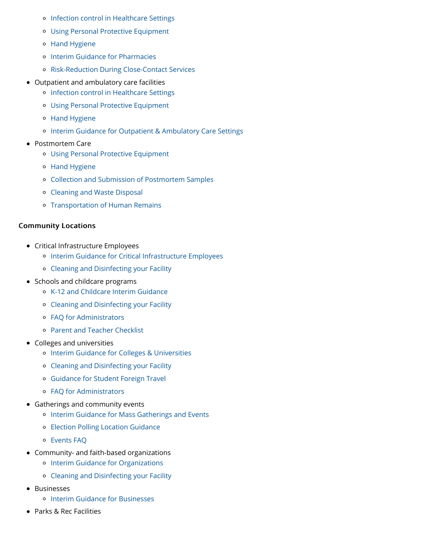- o [Infection control in Healthcare Settings](https://www.cdc.gov/coronavirus/2019-ncov/hcp/infection-control-recommendations.html)
- [Using Personal Protective Equipment](https://www.cdc.gov/coronavirus/2019-ncov/hcp/using-ppe.html)
- o [Hand Hygiene](https://www.cdc.gov/coronavirus/2019-ncov/hcp/hand-hygiene.html)
- o [Interim Guidance for Pharmacies](https://www.cdc.gov/coronavirus/2019-ncov/hcp/pharmacies.html)
- [Risk-Reduction During Close-Contact Services](https://www.cdc.gov/coronavirus/2019-ncov/hcp/pharmacies.html#Testing)
- Outpatient and ambulatory care facilities
	- o [Infection control in Healthcare Settings](https://www.cdc.gov/coronavirus/2019-ncov/hcp/infection-control-recommendations.html)
	- [Using Personal Protective Equipment](https://www.cdc.gov/coronavirus/2019-ncov/hcp/using-ppe.html)
	- [Hand Hygiene](https://www.cdc.gov/coronavirus/2019-ncov/hcp/hand-hygiene.html)
	- [Interim Guidance for Outpatient & Ambulatory Care Settings](https://www.cdc.gov/coronavirus/2019-ncov/hcp/ambulatory-care-settings.html)
- Postmortem Care
	- [Using Personal Protective Equipment](https://www.cdc.gov/coronavirus/2019-ncov/hcp/using-ppe.html)
	- [Hand Hygiene](https://www.cdc.gov/coronavirus/2019-ncov/hcp/hand-hygiene.html)
	- [Collection and Submission of Postmortem Samples](https://www.cdc.gov/coronavirus/2019-ncov/hcp/guidance-postmortem-specimens.html)
	- [Cleaning and Waste Disposal](https://www.cdc.gov/coronavirus/2019-ncov/hcp/guidance-postmortem-specimens.html#waste-disposal)
	- o [Transportation of Human Remains](https://www.cdc.gov/coronavirus/2019-ncov/hcp/guidance-postmortem-specimens.html#human-remains)

#### **Community Locations**

- Critical Infrastructure Employees
	- o [Interim Guidance for Critical Infrastructure Employees](https://www.cdc.gov/coronavirus/2019-ncov/community/critical-workers/implementing-safety-practices.html)
	- [Cleaning and Disinfecting your Facility](https://www.cdc.gov/coronavirus/2019-ncov/community/disinfecting-building-facility.html)
- Schools and childcare programs
	- [K-12 and Childcare Interim Guidance](https://www.cdc.gov/coronavirus/2019-ncov/community/schools-childcare/guidance-for-schools.html)
	- [Cleaning and Disinfecting your Facility](https://www.cdc.gov/coronavirus/2019-ncov/community/disinfecting-building-facility.html)
	- [FAQ for Administrators](https://www.cdc.gov/coronavirus/2019-ncov/community/schools-childcare/schools-faq.html)
	- [Parent and Teacher Checklist](https://www.cdc.gov/coronavirus/2019-ncov/community/schools-childcare/checklist.html)
- Colleges and universities
	- o [Interim Guidance for Colleges & Universities](https://www.cdc.gov/coronavirus/2019-ncov/community/guidance-ihe-response.html)
	- [Cleaning and Disinfecting your Facility](https://www.cdc.gov/coronavirus/2019-ncov/community/disinfecting-building-facility.html)
	- [Guidance for Student Foreign Travel](https://www.cdc.gov/coronavirus/2019-ncov/community/student-foreign-travel.html)
	- [FAQ for Administrators](https://www.cdc.gov/coronavirus/2019-ncov/community/colleges-universities/faq.html)
- Gatherings and community events
	- o [Interim Guidance for Mass Gatherings and Events](https://www.cdc.gov/coronavirus/2019-ncov/community/large-events/index.html)
	- [Election Polling Location Guidance](https://www.cdc.gov/coronavirus/2019-ncov/community/election-polling-locations.html)
	- [Events FAQ](https://www.cdc.gov/coronavirus/2019-ncov/community/large-events/event-planners-and-attendees-faq.html)
- Community- and faith-based organizations
	- o [Interim Guidance for Organizations](https://www.cdc.gov/coronavirus/2019-ncov/community/organizations/guidance-community-faith-organizations.html)
	- [Cleaning and Disinfecting your Facility](https://www.cdc.gov/coronavirus/2019-ncov/community/disinfecting-building-facility.html)
- Businesses
	- o [Interim Guidance for Businesses](https://www.cdc.gov/coronavirus/2019-ncov/community/guidance-business-response.html)
- Parks & Rec Facilities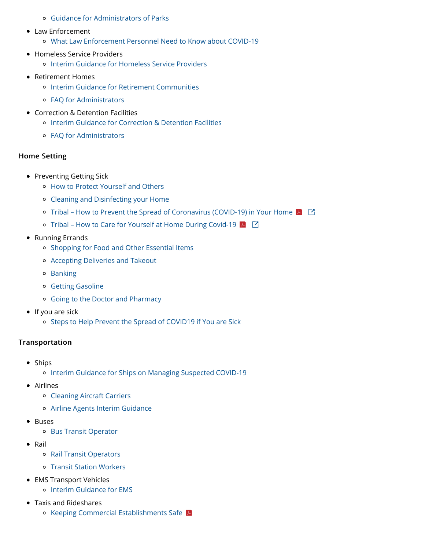- [Guidance for Administrators of Parks](https://www.cdc.gov/coronavirus/2019-ncov/community/parks-rec/park-administrators.html)
- Law Enforcement
	- [What Law Enforcement Personnel Need to Know about COVID-19](https://www.cdc.gov/coronavirus/2019-ncov/community/guidance-law-enforcement.html)
- Homeless Service Providers
	- o [Interim Guidance for Homeless Service Providers](https://www.cdc.gov/coronavirus/2019-ncov/community/homeless-shelters/plan-prepare-respond.html)
- Retirement Homes
	- o [Interim Guidance for Retirement Communities](https://www.cdc.gov/coronavirus/2019-ncov/community/retirement/guidance-retirement-response.html)
	- [FAQ for Administrators](https://www.cdc.gov/coronavirus/2019-ncov/community/retirement/faq.html)
- Correction & Detention Facilities
	- o [Interim Guidance for Correction & Detention Facilities](https://www.cdc.gov/coronavirus/2019-ncov/community/correction-detention/guidance-correctional-detention.html)
	- [FAQ for Administrators](https://www.cdc.gov/coronavirus/2019-ncov/community/correction-detention/faq.html)

#### Home Setting

- Preventing Getting Sick
	- [How to Protect Yourself and Others](https://www.cdc.gov/coronavirus/2019-ncov/prevent-getting-sick/prevention.html)
	- [Cleaning and Disinfecting your Home](https://www.cdc.gov/coronavirus/2019-ncov/prevent-getting-sick/disinfecting-your-home.html)
	- [Tribal How to Prevent the Spread of Coronavirus \(COVID-19\) in Your Home](http://caih.jhu.edu/assets/documents/COVID-19_Prevent_the_Spread_at_Home.pdf)  $|\mathcal{A}||$   $\Box$
	- [Tribal How to Care for Yourself at Home During Covid-19](http://caih.jhu.edu/assets/documents/COVID-19_caring_for_someone_at_home_JHUonly_2pages.pdf)  $\blacktriangleright$   $\Box$
- Running Errands
	- o [Shopping for Food and Other Essential Items](https://www.cdc.gov/coronavirus/2019-ncov/daily-life-coping/essential-goods-services.html)
	- [Accepting Deliveries and Takeout](https://www.cdc.gov/coronavirus/2019-ncov/daily-life-coping/essential-goods-services.html)
	- o [Banking](https://www.cdc.gov/coronavirus/2019-ncov/daily-life-coping/essential-goods-services.html)
	- [Getting Gasoline](https://www.cdc.gov/coronavirus/2019-ncov/daily-life-coping/essential-goods-services.html)
	- [Going to the Doctor and Pharmacy](https://www.cdc.gov/coronavirus/2019-ncov/daily-life-coping/essential-goods-services.html)
- $\bullet$  If you are sick
	- o [Steps to Help Prevent the Spread of COVID19 if You are Sick](https://www.cdc.gov/coronavirus/2019-ncov/if-you-are-sick/steps-when-sick.html)

#### **Transportation**

- Ships
	- o [Interim Guidance for Ships on Managing Suspected COVID-19](https://www.cdc.gov/quarantine/maritime/recommendations-for-ships.html)
- Airlines
	- [Cleaning Aircraft Carriers](https://www.cdc.gov/quarantine/air/managing-sick-travelers/ncov-airlines.html)
	- [Airline Agents Interim Guidance](https://www.cdc.gov/coronavirus/2019-ncov/community/airport-customer-factsheet.html)
- Buses
	- [Bus Transit Operator](https://www.cdc.gov/coronavirus/2019-ncov/community/organizations/bus-transit-operator.html)
- Rail
	- [Rail Transit Operators](https://www.cdc.gov/coronavirus/2019-ncov/community/organizations/rail-transit-operator.html)
	- [Transit Station Workers](https://www.cdc.gov/coronavirus/2019-ncov/community/organizations/transit-station-workers.html)
- EMS Transport Vehicles
	- o [Interim Guidance for EMS](https://www.cdc.gov/coronavirus/2019-ncov/hcp/guidance-for-ems.html)
- Taxis and Rideshares
	- [Keeping Commercial Establishments Safe](https://www.cdc.gov/coronavirus/2019-ncov/downloads/workplace-school-and-home-guidance.pdf)